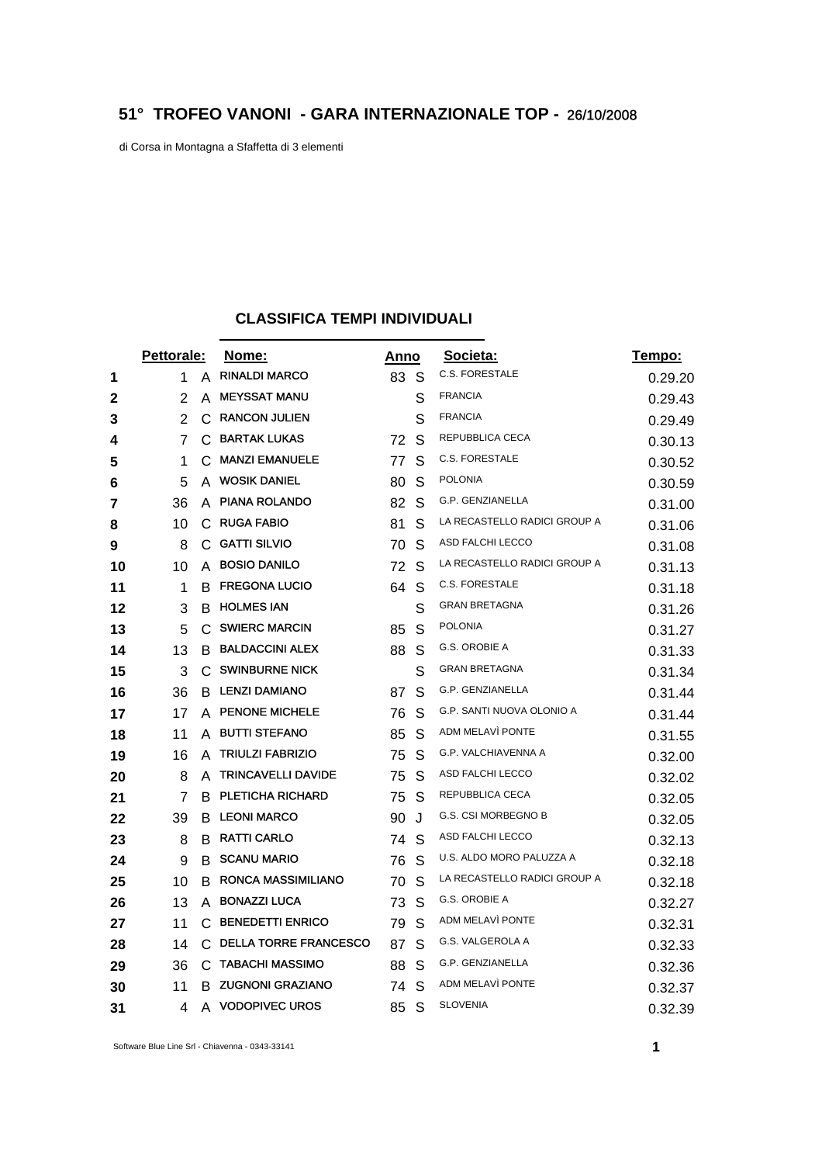## **51° TROFEO VANONI - GARA INTERNAZIONALE TOP -** 26/10/2008

di Corsa in Montagna a Sfaffetta di 3 elementi

## **CLASSIFICA TEMPI INDIVIDUALI**

|    | Pettorale:     |    | Nome:                        |      | <u>Anno</u> | Societa:                     | Tempo:  |
|----|----------------|----|------------------------------|------|-------------|------------------------------|---------|
| 1  | 1              | A  | <b>RINALDI MARCO</b>         | 83 S |             | <b>C.S. FORESTALE</b>        | 0.29.20 |
| 2  | 2              | A  | <b>MEYSSAT MANU</b>          |      | S           | <b>FRANCIA</b>               | 0.29.43 |
| 3  | $\overline{2}$ | C  | <b>RANCON JULIEN</b>         |      | S           | <b>FRANCIA</b>               | 0.29.49 |
| 4  | 7              | C  | <b>BARTAK LUKAS</b>          | 72   | S           | REPUBBLICA CECA              | 0.30.13 |
| 5  | 1              | C. | <b>MANZI EMANUELE</b>        | 77   | S           | C.S. FORESTALE               | 0.30.52 |
| 6  | 5              | A  | <b>WOSIK DANIEL</b>          | 80   | S           | <b>POLONIA</b>               | 0.30.59 |
| 7  | 36             | A  | <b>PIANA ROLANDO</b>         | 82   | S           | G.P. GENZIANELLA             | 0.31.00 |
| 8  | 10             |    | C RUGA FABIO                 | 81   | S           | LA RECASTELLO RADICI GROUP A | 0.31.06 |
| 9  | 8              | C  | <b>GATTI SILVIO</b>          | 70   | S           | ASD FALCHI LECCO             | 0.31.08 |
| 10 | 10             | A  | <b>BOSIO DANILO</b>          | 72   | S           | LA RECASTELLO RADICI GROUP A | 0.31.13 |
| 11 | 1              | В  | <b>FREGONA LUCIO</b>         | 64   | S           | <b>C.S. FORESTALE</b>        | 0.31.18 |
| 12 | 3              | В  | <b>HOLMES IAN</b>            |      | S           | <b>GRAN BRETAGNA</b>         | 0.31.26 |
| 13 | 5              | C  | <b>SWIERC MARCIN</b>         | 85   | S           | <b>POLONIA</b>               | 0.31.27 |
| 14 | 13             | В  | <b>BALDACCINI ALEX</b>       | 88   | S           | G.S. OROBIE A                | 0.31.33 |
| 15 | 3              | C  | <b>SWINBURNE NICK</b>        |      | S           | <b>GRAN BRETAGNA</b>         | 0.31.34 |
| 16 | 36             | В  | <b>LENZI DAMIANO</b>         | 87   | S           | G.P. GENZIANELLA             | 0.31.44 |
| 17 | 17             |    | A PENONE MICHELE             | 76   | S           | G.P. SANTI NUOVA OLONIO A    | 0.31.44 |
| 18 | 11             | A  | <b>BUTTI STEFANO</b>         | 85   | S           | ADM MELAVI PONTE             | 0.31.55 |
| 19 | 16             | A  | <b>TRIULZI FABRIZIO</b>      | 75   | S           | <b>G.P. VALCHIAVENNA A</b>   | 0.32.00 |
| 20 | 8              | A  | <b>TRINCAVELLI DAVIDE</b>    | 75   | S           | ASD FALCHI LECCO             | 0.32.02 |
| 21 | 7              | B  | <b>PLETICHA RICHARD</b>      | 75   | S           | REPUBBLICA CECA              | 0.32.05 |
| 22 | 39             | B  | <b>LEONI MARCO</b>           | 90   | J           | G.S. CSI MORBEGNO B          | 0.32.05 |
| 23 | 8              |    | <b>B RATTI CARLO</b>         | 74   | S           | ASD FALCHI LECCO             | 0.32.13 |
| 24 | 9              | В  | <b>SCANU MARIO</b>           | 76   | S.          | U.S. ALDO MORO PALUZZA A     | 0.32.18 |
| 25 | 10             | В  | <b>RONCA MASSIMILIANO</b>    | 70   | S           | LA RECASTELLO RADICI GROUP A | 0.32.18 |
| 26 | 13             | A  | <b>BONAZZI LUCA</b>          | 73   | S           | G.S. OROBIE A                | 0.32.27 |
| 27 | 11             | C  | <b>BENEDETTI ENRICO</b>      | 79   | S           | ADM MELAVI PONTE             | 0.32.31 |
| 28 | 14             | С  | <b>DELLA TORRE FRANCESCO</b> | 87   | S           | G.S. VALGEROLA A             | 0.32.33 |
| 29 | 36             | C  | TABACHI MASSIMO              | 88   | S           | G.P. GENZIANELLA             | 0.32.36 |
| 30 | 11             | В  | <b>ZUGNONI GRAZIANO</b>      | 74   | S           | ADM MELAVÌ PONTE             | 0.32.37 |
| 31 | 4              | A  | <b>VODOPIVEC UROS</b>        | 85   | S           | <b>SLOVENIA</b>              | 0.32.39 |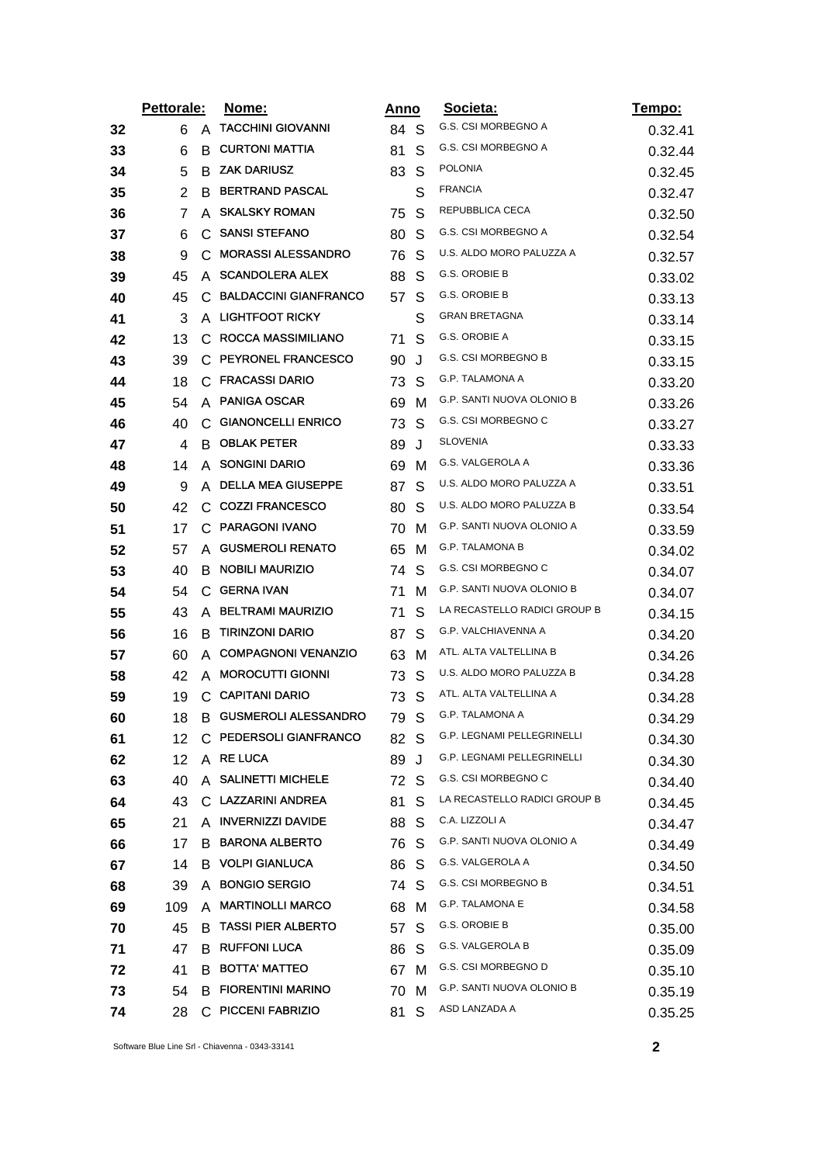|    | <b>Pettorale:</b> |    | <u>Nome:</u>                  |      | Anno         | Societa:                     | Tempo:  |
|----|-------------------|----|-------------------------------|------|--------------|------------------------------|---------|
| 32 | 6                 | A  | <b>TACCHINI GIOVANNI</b>      | 84 S |              | G.S. CSI MORBEGNO A          | 0.32.41 |
| 33 | 6                 | B  | <b>CURTONI MATTIA</b>         | 81   | S            | G.S. CSI MORBEGNO A          | 0.32.44 |
| 34 | 5                 | B  | <b>ZAK DARIUSZ</b>            | 83   | S            | <b>POLONIA</b>               | 0.32.45 |
| 35 | 2                 | B  | <b>BERTRAND PASCAL</b>        |      | S            | <b>FRANCIA</b>               | 0.32.47 |
| 36 | 7                 | A  | <b>SKALSKY ROMAN</b>          | 75   | S            | REPUBBLICA CECA              | 0.32.50 |
| 37 | 6                 | C  | <b>SANSI STEFANO</b>          | 80   | S            | G.S. CSI MORBEGNO A          | 0.32.54 |
| 38 | 9                 | C  | <b>MORASSI ALESSANDRO</b>     | 76   | S            | U.S. ALDO MORO PALUZZA A     | 0.32.57 |
| 39 | 45                | A  | <b>SCANDOLERA ALEX</b>        | 88   | S            | G.S. OROBIE B                | 0.33.02 |
| 40 | 45                | C  | <b>BALDACCINI GIANFRANCO</b>  | 57   | S            | G.S. OROBIE B                | 0.33.13 |
| 41 | 3                 |    | A LIGHTFOOT RICKY             |      | S            | <b>GRAN BRETAGNA</b>         | 0.33.14 |
| 42 | 13                | C  | ROCCA MASSIMILIANO            | 71   | S            | G.S. OROBIE A                | 0.33.15 |
| 43 | 39                |    | C PEYRONEL FRANCESCO          | 90   | J            | G.S. CSI MORBEGNO B          | 0.33.15 |
| 44 | 18                | C  | <b>FRACASSI DARIO</b>         | 73   | S            | <b>G.P. TALAMONA A</b>       | 0.33.20 |
| 45 | 54                |    | A PANIGA OSCAR                | 69   | м            | G.P. SANTI NUOVA OLONIO B    | 0.33.26 |
| 46 | 40                | C  | <b>GIANONCELLI ENRICO</b>     | 73   | S            | G.S. CSI MORBEGNO C          | 0.33.27 |
| 47 | 4                 | B. | <b>OBLAK PETER</b>            | 89   | J            | <b>SLOVENIA</b>              | 0.33.33 |
| 48 | 14                | A  | <b>SONGINI DARIO</b>          | 69   | M            | G.S. VALGEROLA A             | 0.33.36 |
| 49 | 9                 | A  | <b>DELLA MEA GIUSEPPE</b>     | 87   | S            | U.S. ALDO MORO PALUZZA A     | 0.33.51 |
| 50 | 42                | C. | <b>COZZI FRANCESCO</b>        | 80   | S            | U.S. ALDO MORO PALUZZA B     | 0.33.54 |
| 51 | 17                | C  | <b>PARAGONI IVANO</b>         | 70   | M            | G.P. SANTI NUOVA OLONIO A    | 0.33.59 |
| 52 | 57                | A  | <b>GUSMEROLI RENATO</b>       | 65   | м            | G.P. TALAMONA B              | 0.34.02 |
| 53 | 40                | В  | <b>NOBILI MAURIZIO</b>        | 74   | S            | G.S. CSI MORBEGNO C          | 0.34.07 |
| 54 | 54                |    | C GERNA IVAN                  | 71   | м            | G.P. SANTI NUOVA OLONIO B    | 0.34.07 |
| 55 | 43                |    | A BELTRAMI MAURIZIO           | 71   | S            | LA RECASTELLO RADICI GROUP B | 0.34.15 |
| 56 | 16                | B  | <b>TIRINZONI DARIO</b>        | 87   | S            | G.P. VALCHIAVENNA A          | 0.34.20 |
| 57 | 60                | A  | <b>COMPAGNONI VENANZIO</b>    | 63   | м            | ATL. ALTA VALTELLINA B       | 0.34.26 |
| 58 | 42                |    | A MOROCUTTI GIONNI            | 73   | S            | U.S. ALDO MORO PALUZZA B     | 0.34.28 |
| 59 | 19                | C  | <b>CAPITANI DARIO</b>         | 73   | S            | ATL. ALTA VALTELLINA A       | 0.34.28 |
| 60 | 18                |    | <b>B GUSMEROLI ALESSANDRO</b> | 79   | $\mathsf S$  | G.P. TALAMONA A              | 0.34.29 |
| 61 | 12                |    | C PEDERSOLI GIANFRANCO        | 82 S |              | G.P. LEGNAMI PELLEGRINELLI   | 0.34.30 |
| 62 | 12                |    | A RE LUCA                     | 89   | J            | G.P. LEGNAMI PELLEGRINELLI   | 0.34.30 |
| 63 | 40                |    | A SALINETTI MICHELE           | 72   | -S           | G.S. CSI MORBEGNO C          | 0.34.40 |
| 64 | 43                |    | C. LAZZARINI ANDREA           | 81   | S            | LA RECASTELLO RADICI GROUP B | 0.34.45 |
| 65 | 21                |    | A INVERNIZZI DAVIDE           | 88   | S            | C.A. LIZZOLI A               | 0.34.47 |
| 66 | 17                | В  | <b>BARONA ALBERTO</b>         | 76   | <sub>S</sub> | G.P. SANTI NUOVA OLONIO A    | 0.34.49 |
| 67 | 14                | B. | <b>VOLPI GIANLUCA</b>         | 86   | <sub>S</sub> | G.S. VALGEROLA A             | 0.34.50 |
| 68 | 39                | A  | <b>BONGIO SERGIO</b>          | 74 S |              | G.S. CSI MORBEGNO B          | 0.34.51 |
| 69 | 109               |    | A MARTINOLLI MARCO            | 68   | M            | <b>G.P. TALAMONA E</b>       | 0.34.58 |
| 70 | 45                | B  | <b>TASSI PIER ALBERTO</b>     | 57   | S            | G.S. OROBIE B                | 0.35.00 |
| 71 | 47                |    | <b>B RUFFONI LUCA</b>         | 86   | S            | <b>G.S. VALGEROLA B</b>      | 0.35.09 |
| 72 | 41                | B  | <b>BOTTA' MATTEO</b>          | 67   | M            | G.S. CSI MORBEGNO D          | 0.35.10 |
| 73 | 54                |    | <b>B FIORENTINI MARINO</b>    | 70   | M            | G.P. SANTI NUOVA OLONIO B    | 0.35.19 |
| 74 | 28                |    | C PICCENI FABRIZIO            | 81   | S            | ASD LANZADA A                | 0.35.25 |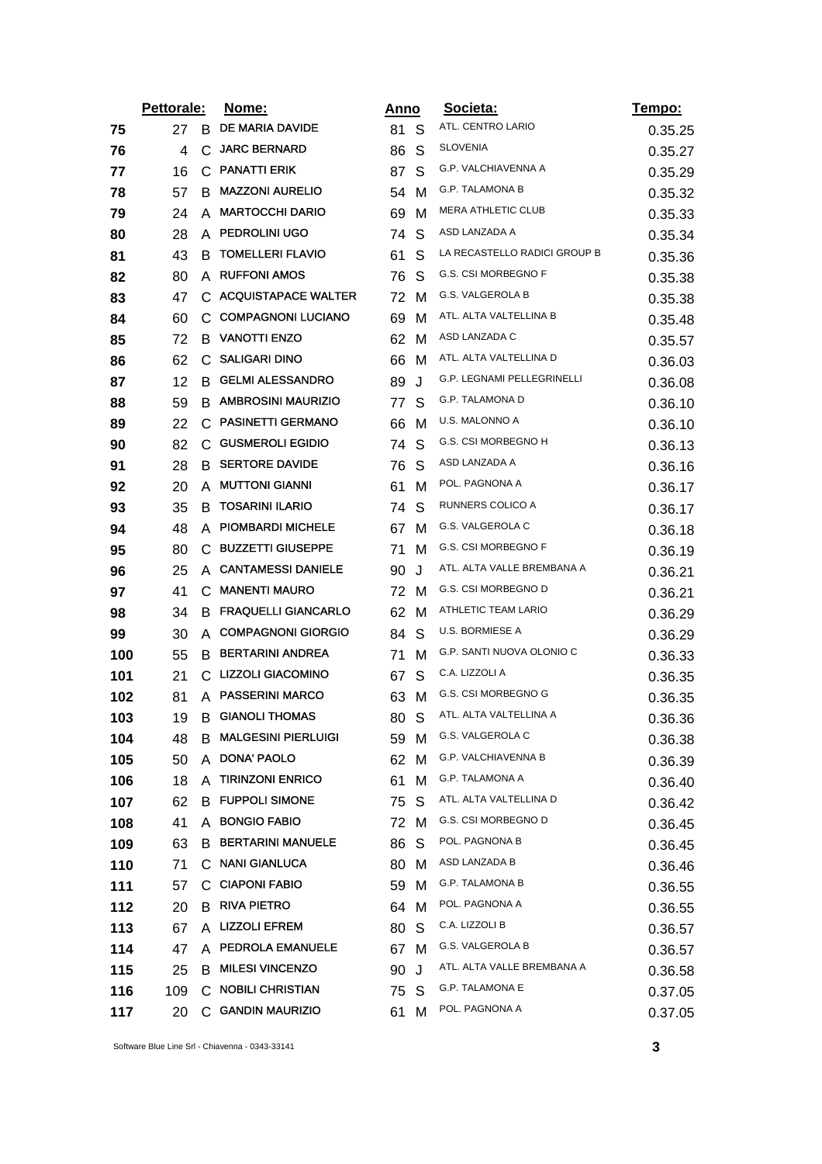|     | Pettorale: |    | <u>Nome:</u>                 |      | Anno | Societa:                     | <u>Tempo:</u> |
|-----|------------|----|------------------------------|------|------|------------------------------|---------------|
| 75  | 27         | B. | DE MARIA DAVIDE              | 81 S |      | ATL. CENTRO LARIO            | 0.35.25       |
| 76  | 4          | С  | <b>JARC BERNARD</b>          | 86   | S    | <b>SLOVENIA</b>              | 0.35.27       |
| 77  | 16         | C. | <b>PANATTI ERIK</b>          | 87   | S    | G.P. VALCHIAVENNA A          | 0.35.29       |
| 78  | 57         | B  | <b>MAZZONI AURELIO</b>       | 54   | м    | G.P. TALAMONA B              | 0.35.32       |
| 79  | 24         | A  | <b>MARTOCCHI DARIO</b>       | 69   | м    | <b>MERA ATHLETIC CLUB</b>    | 0.35.33       |
| 80  | 28         | A  | <b>PEDROLINI UGO</b>         | 74   | S    | ASD LANZADA A                | 0.35.34       |
| 81  | 43         | в  | <b>TOMELLERI FLAVIO</b>      | 61   | S    | LA RECASTELLO RADICI GROUP B | 0.35.36       |
| 82  | 80         |    | A RUFFONI AMOS               | 76   | S    | G.S. CSI MORBEGNO F          | 0.35.38       |
| 83  | 47         |    | C ACQUISTAPACE WALTER        | 72   | M    | G.S. VALGEROLA B             | 0.35.38       |
| 84  | 60         |    | C COMPAGNONI LUCIANO         | 69   | M    | ATL. ALTA VALTELLINA B       | 0.35.48       |
| 85  | 72         | B  | <b>VANOTTI ENZO</b>          | 62   | м    | ASD LANZADA C                | 0.35.57       |
| 86  | 62         |    | C SALIGARI DINO              | 66   | M    | ATL. ALTA VALTELLINA D       | 0.36.03       |
| 87  | 12         | В  | <b>GELMI ALESSANDRO</b>      | 89   | J    | G.P. LEGNAMI PELLEGRINELLI   | 0.36.08       |
| 88  | 59         |    | <b>B AMBROSINI MAURIZIO</b>  | 77   | S    | G.P. TALAMONA D              | 0.36.10       |
| 89  | 22         | C  | <b>PASINETTI GERMANO</b>     | 66   | м    | U.S. MALONNO A               | 0.36.10       |
| 90  | 82         |    | C GUSMEROLI EGIDIO           | 74   | S    | G.S. CSI MORBEGNO H          | 0.36.13       |
| 91  | 28         | B  | <b>SERTORE DAVIDE</b>        | 76   | S    | ASD LANZADA A                | 0.36.16       |
| 92  | 20         | A  | <b>MUTTONI GIANNI</b>        | 61   | M    | POL. PAGNONA A               | 0.36.17       |
| 93  | 35         | B  | <b>TOSARINI ILARIO</b>       | 74   | S    | RUNNERS COLICO A             | 0.36.17       |
| 94  | 48         | A  | <b>PIOMBARDI MICHELE</b>     | 67   | M    | G.S. VALGEROLA C             | 0.36.18       |
| 95  | 80         | C. | <b>BUZZETTI GIUSEPPE</b>     | 71   | M    | G.S. CSI MORBEGNO F          | 0.36.19       |
| 96  | 25         | A  | <b>CANTAMESSI DANIELE</b>    | 90   | J    | ATL. ALTA VALLE BREMBANA A   | 0.36.21       |
| 97  | 41         |    | C MANENTI MAURO              | 72   | M    | G.S. CSI MORBEGNO D          | 0.36.21       |
| 98  | 34         |    | <b>B FRAQUELLI GIANCARLO</b> | 62   | M    | ATHLETIC TEAM LARIO          | 0.36.29       |
| 99  | 30         |    | A COMPAGNONI GIORGIO         | 84   | S    | U.S. BORMIESE A              | 0.36.29       |
| 100 | 55         | B  | <b>BERTARINI ANDREA</b>      | 71   | м    | G.P. SANTI NUOVA OLONIO C    | 0.36.33       |
| 101 | 21         |    | C LIZZOLI GIACOMINO          | 67   | S    | C.A. LIZZOLI A               | 0.36.35       |
| 102 | 81         |    | A PASSERINI MARCO            | 63   | M    | G.S. CSI MORBEGNO G          | 0.36.35       |
| 103 | 19         | B  | <b>GIANOLI THOMAS</b>        | 80   | S    | ATL. ALTA VALTELLINA A       | 0.36.36       |
| 104 | 48         | В  | <b>MALGESINI PIERLUIGI</b>   | 59   | M    | G.S. VALGEROLA C             | 0.36.38       |
| 105 | 50         | A  | DONA' PAOLO                  | 62   | M    | <b>G.P. VALCHIAVENNA B</b>   | 0.36.39       |
| 106 | 18         | A  | <b>TIRINZONI ENRICO</b>      | 61   | м    | G.P. TALAMONA A              | 0.36.40       |
| 107 | 62         | B  | <b>FUPPOLI SIMONE</b>        | 75   | S    | ATL. ALTA VALTELLINA D       | 0.36.42       |
| 108 | 41         | A  | <b>BONGIO FABIO</b>          | 72   | м    | G.S. CSI MORBEGNO D          | 0.36.45       |
| 109 | 63         | В  | <b>BERTARINI MANUELE</b>     | 86   | S    | POL. PAGNONA B               | 0.36.45       |
| 110 | 71         |    | C NANI GIANLUCA              | 80   | M    | ASD LANZADA B                | 0.36.46       |
| 111 | 57         | С  | <b>CIAPONI FABIO</b>         | 59   | M    | <b>G.P. TALAMONA B</b>       | 0.36.55       |
| 112 | 20         |    | <b>B RIVA PIETRO</b>         | 64   | M    | POL. PAGNONA A               | 0.36.55       |
| 113 | 67         | A  | <b>LIZZOLI EFREM</b>         | 80   | S    | C.A. LIZZOLI B               | 0.36.57       |
| 114 | 47         |    | A PEDROLA EMANUELE           | 67   | M    | G.S. VALGEROLA B             | 0.36.57       |
| 115 | 25         | B  | <b>MILESI VINCENZO</b>       | 90   | J    | ATL. ALTA VALLE BREMBANA A   | 0.36.58       |
| 116 | 109        |    | C NOBILI CHRISTIAN           | 75   | S    | G.P. TALAMONA E              | 0.37.05       |
| 117 | 20         |    | C GANDIN MAURIZIO            | 61   | м    | POL. PAGNONA A               | 0.37.05       |
|     |            |    |                              |      |      |                              |               |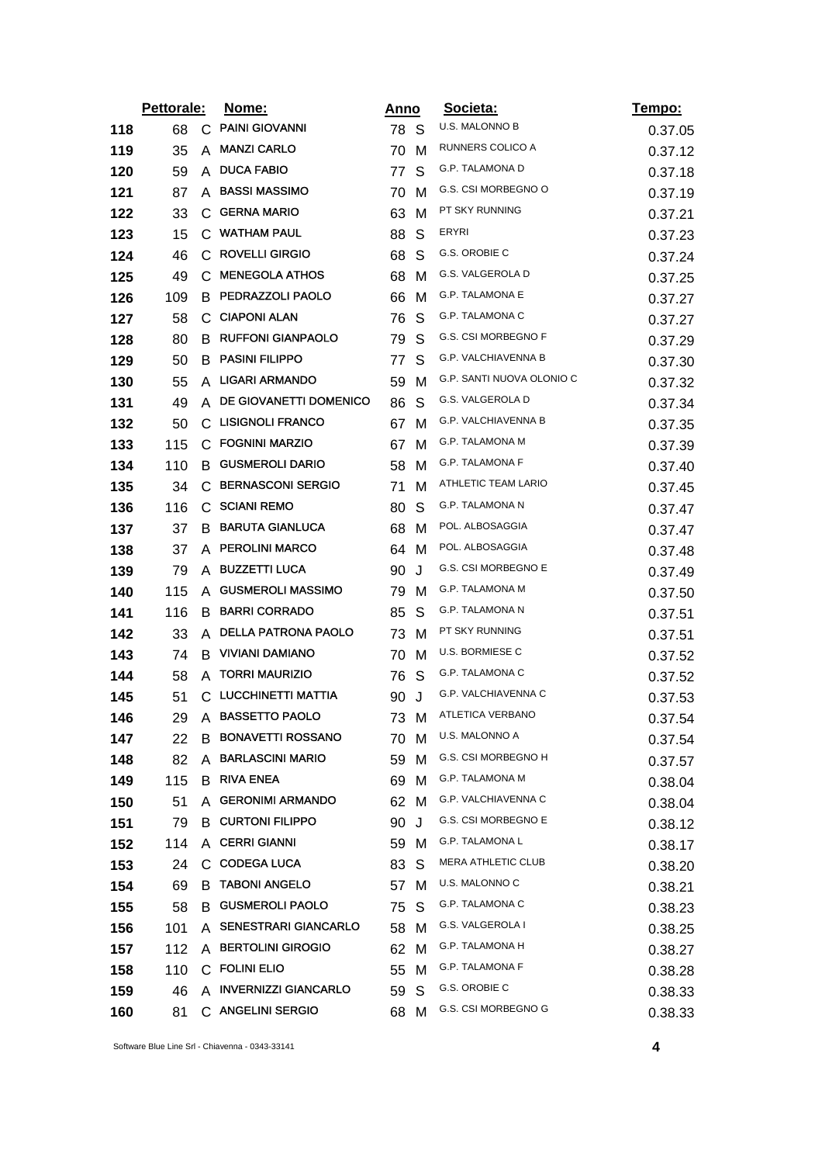|     | Pettorale: |    | Nome:                      | Anno |              | Societa:                   | <u>Tempo:</u> |
|-----|------------|----|----------------------------|------|--------------|----------------------------|---------------|
| 118 | 68         | C  | <b>PAINI GIOVANNI</b>      | 78 S |              | U.S. MALONNO B             | 0.37.05       |
| 119 | 35         | A  | <b>MANZI CARLO</b>         | 70   | м            | RUNNERS COLICO A           | 0.37.12       |
| 120 | 59         | A  | <b>DUCA FABIO</b>          | 77   | S            | G.P. TALAMONA D            | 0.37.18       |
| 121 | 87         | A  | <b>BASSI MASSIMO</b>       | 70   | м            | G.S. CSI MORBEGNO O        | 0.37.19       |
| 122 | 33         | С  | <b>GERNA MARIO</b>         | 63   | M            | PT SKY RUNNING             | 0.37.21       |
| 123 | 15         |    | C WATHAM PAUL              | 88   | S            | ERYRI                      | 0.37.23       |
| 124 | 46         | C  | <b>ROVELLI GIRGIO</b>      | 68   | S            | G.S. OROBIE C              | 0.37.24       |
| 125 | 49         |    | C MENEGOLA ATHOS           | 68   | м            | G.S. VALGEROLA D           | 0.37.25       |
| 126 | 109        | B  | PEDRAZZOLI PAOLO           | 66   | м            | G.P. TALAMONA E            | 0.37.27       |
| 127 | 58         |    | C CIAPONI ALAN             | 76   | S            | G.P. TALAMONA C            | 0.37.27       |
| 128 | 80         | B  | <b>RUFFONI GIANPAOLO</b>   | 79   | S            | G.S. CSI MORBEGNO F        | 0.37.29       |
| 129 | 50         | B  | <b>PASINI FILIPPO</b>      | 77   | S            | G.P. VALCHIAVENNA B        | 0.37.30       |
| 130 | 55         | A  | <b>LIGARI ARMANDO</b>      | 59   | м            | G.P. SANTI NUOVA OLONIO C  | 0.37.32       |
| 131 | 49         | A  | DE GIOVANETTI DOMENICO     | 86   | S            | G.S. VALGEROLA D           | 0.37.34       |
| 132 | 50         | С  | <b>LISIGNOLI FRANCO</b>    | 67   | м            | <b>G.P. VALCHIAVENNA B</b> | 0.37.35       |
| 133 | 115        |    | C FOGNINI MARZIO           | 67   | м            | G.P. TALAMONA M            | 0.37.39       |
| 134 | 110        | в  | <b>GUSMEROLI DARIO</b>     | 58   | м            | <b>G.P. TALAMONA F</b>     | 0.37.40       |
| 135 | 34         | С  | <b>BERNASCONI SERGIO</b>   | 71   | м            | ATHLETIC TEAM LARIO        | 0.37.45       |
| 136 | 116        | C. | <b>SCIANI REMO</b>         | 80   | S            | G.P. TALAMONA N            | 0.37.47       |
| 137 | 37         | B  | <b>BARUTA GIANLUCA</b>     | 68   | м            | POL. ALBOSAGGIA            | 0.37.47       |
| 138 | 37         | A  | <b>PEROLINI MARCO</b>      | 64   | м            | POL. ALBOSAGGIA            | 0.37.48       |
| 139 | 79         | A  | <b>BUZZETTI LUCA</b>       | 90   | J            | <b>G.S. CSI MORBEGNO E</b> | 0.37.49       |
| 140 | 115        |    | A GUSMEROLI MASSIMO        | 79   | M            | G.P. TALAMONA M            | 0.37.50       |
| 141 | 116        | B  | <b>BARRI CORRADO</b>       | 85   | S            | G.P. TALAMONA N            | 0.37.51       |
| 142 | 33         |    | A DELLA PATRONA PAOLO      | 73   | M            | PT SKY RUNNING             | 0.37.51       |
| 143 | 74         | B  | <b>VIVIANI DAMIANO</b>     | 70   | M            | U.S. BORMIESE C            | 0.37.52       |
| 144 | 58         | A  | <b>TORRI MAURIZIO</b>      | 76   | S            | G.P. TALAMONA C            | 0.37.52       |
| 145 | 51         |    | C LUCCHINETTI MATTIA       | 90   | J            | G.P. VALCHIAVENNA C        | 0.37.53       |
| 146 | 29         | A  | <b>BASSETTO PAOLO</b>      | 73 M |              | <b>ATLETICA VERBANO</b>    | 0.37.54       |
| 147 | 22         |    | <b>B BONAVETTI ROSSANO</b> | 70 M |              | U.S. MALONNO A             | 0.37.54       |
| 148 | 82         | A  | <b>BARLASCINI MARIO</b>    | 59   | м            | G.S. CSI MORBEGNO H        | 0.37.57       |
| 149 | 115        |    | <b>B</b> RIVA ENEA         | 69   | M            | G.P. TALAMONA M            | 0.38.04       |
| 150 | 51         |    | A GERONIMI ARMANDO         | 62 M |              | G.P. VALCHIAVENNA C        | 0.38.04       |
| 151 | 79         |    | <b>B</b> CURTONI FILIPPO   | 90   | J            | G.S. CSI MORBEGNO E        | 0.38.12       |
| 152 | 114        |    | A CERRI GIANNI             | 59   | M            | <b>G.P. TALAMONA L</b>     | 0.38.17       |
| 153 | 24         |    | C CODEGA LUCA              | 83   | <sub>S</sub> | <b>MERA ATHLETIC CLUB</b>  | 0.38.20       |
| 154 | 69         | В  | <b>TABONI ANGELO</b>       | 57   | M            | U.S. MALONNO C             | 0.38.21       |
| 155 | 58         |    | B GUSMEROLI PAOLO          | 75   | S            | G.P. TALAMONA C            | 0.38.23       |
| 156 | 101        |    | A SENESTRARI GIANCARLO     | 58   | м            | G.S. VALGEROLA I           | 0.38.25       |
| 157 | 112        |    | A BERTOLINI GIROGIO        | 62   | M            | G.P. TALAMONA H            | 0.38.27       |
| 158 | 110        |    | C FOLINI ELIO              | 55   | M            | <b>G.P. TALAMONA F</b>     | 0.38.28       |
| 159 | 46         |    | A INVERNIZZI GIANCARLO     | 59   | -S           | G.S. OROBIE C              | 0.38.33       |
| 160 | 81         |    | C ANGELINI SERGIO          | 68 M |              | G.S. CSI MORBEGNO G        | 0.38.33       |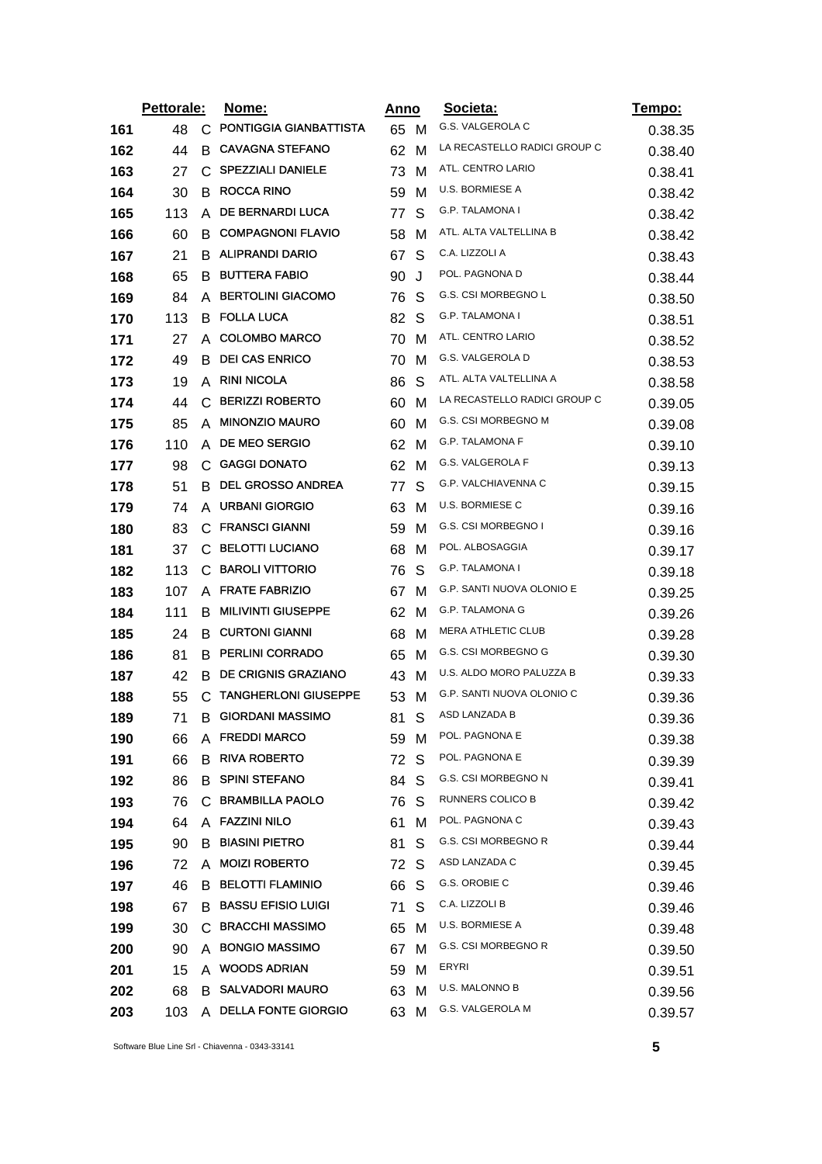|     | Pettorale: |              | <u>Nome:</u>                |      | Anno | Societa:                     | Tempo:  |
|-----|------------|--------------|-----------------------------|------|------|------------------------------|---------|
| 161 | 48         | C            | PONTIGGIA GIANBATTISTA      | 65 M |      | G.S. VALGEROLA C             | 0.38.35 |
| 162 | 44         | B            | <b>CAVAGNA STEFANO</b>      | 62   | м    | LA RECASTELLO RADICI GROUP C | 0.38.40 |
| 163 | 27         | C.           | <b>SPEZZIALI DANIELE</b>    | 73   | м    | ATL. CENTRO LARIO            | 0.38.41 |
| 164 | 30         | B            | <b>ROCCA RINO</b>           | 59   | м    | U.S. BORMIESE A              | 0.38.42 |
| 165 | 113        | A            | DE BERNARDI LUCA            | 77   | S    | <b>G.P. TALAMONA I</b>       | 0.38.42 |
| 166 | 60         | B            | <b>COMPAGNONI FLAVIO</b>    | 58   | м    | ATL. ALTA VALTELLINA B       | 0.38.42 |
| 167 | 21         | B            | <b>ALIPRANDI DARIO</b>      | 67   | S    | C.A. LIZZOLI A               | 0.38.43 |
| 168 | 65         | B.           | <b>BUTTERA FABIO</b>        | 90   | J    | POL. PAGNONA D               | 0.38.44 |
| 169 | 84         | A            | <b>BERTOLINI GIACOMO</b>    | 76   | S    | <b>G.S. CSI MORBEGNO L</b>   | 0.38.50 |
| 170 | 113        | В.           | <b>FOLLA LUCA</b>           | 82   | S    | G.P. TALAMONA I              | 0.38.51 |
| 171 | 27         | A            | <b>COLOMBO MARCO</b>        | 70   | M    | ATL. CENTRO LARIO            | 0.38.52 |
| 172 | 49         | B            | <b>DEI CAS ENRICO</b>       | 70   | м    | G.S. VALGEROLA D             | 0.38.53 |
| 173 | 19         | A            | <b>RINI NICOLA</b>          | 86   | S    | ATL. ALTA VALTELLINA A       | 0.38.58 |
| 174 | 44         | C            | <b>BERIZZI ROBERTO</b>      | 60   | м    | LA RECASTELLO RADICI GROUP C | 0.39.05 |
| 175 | 85         | A            | <b>MINONZIO MAURO</b>       | 60   | м    | G.S. CSI MORBEGNO M          | 0.39.08 |
| 176 | 110        | A            | <b>DE MEO SERGIO</b>        | 62   | M    | G.P. TALAMONA F              | 0.39.10 |
| 177 | 98         | $\mathbf{C}$ | <b>GAGGI DONATO</b>         | 62   | м    | G.S. VALGEROLA F             | 0.39.13 |
| 178 | 51         | B            | <b>DEL GROSSO ANDREA</b>    | 77   | S    | G.P. VALCHIAVENNA C          | 0.39.15 |
| 179 | 74         | A            | <b>URBANI GIORGIO</b>       | 63   | м    | U.S. BORMIESE C              | 0.39.16 |
| 180 | 83         | C            | <b>FRANSCI GIANNI</b>       | 59   | M    | G.S. CSI MORBEGNO I          | 0.39.16 |
| 181 | 37         | С            | <b>BELOTTI LUCIANO</b>      | 68   | м    | POL. ALBOSAGGIA              | 0.39.17 |
| 182 | 113        | С            | <b>BAROLI VITTORIO</b>      | 76   | S    | G.P. TALAMONA I              | 0.39.18 |
| 183 | 107        |              | A FRATE FABRIZIO            | 67   | м    | G.P. SANTI NUOVA OLONIO E    | 0.39.25 |
| 184 | 111        | B            | <b>MILIVINTI GIUSEPPE</b>   | 62   | M    | G.P. TALAMONA G              | 0.39.26 |
| 185 | 24         |              | <b>B</b> CURTONI GIANNI     | 68   | м    | MERA ATHLETIC CLUB           | 0.39.28 |
| 186 | 81         | B            | <b>PERLINI CORRADO</b>      | 65   | M    | G.S. CSI MORBEGNO G          | 0.39.30 |
| 187 | 42         | B            | <b>DE CRIGNIS GRAZIANO</b>  | 43   | M    | U.S. ALDO MORO PALUZZA B     | 0.39.33 |
| 188 | 55         | C            | <b>TANGHERLONI GIUSEPPE</b> | 53   | м    | G.P. SANTI NUOVA OLONIO C    | 0.39.36 |
| 189 | 71         | B            | <b>GIORDANI MASSIMO</b>     | 81   | S    | ASD LANZADA B                | 0.39.36 |
| 190 | 66         |              | A FREDDI MARCO              | 59 M |      | POL. PAGNONA E               | 0.39.38 |
| 191 | 66         | В            | <b>RIVA ROBERTO</b>         | 72   | S    | POL. PAGNONA E               | 0.39.39 |
| 192 | 86         | B            | <b>SPINI STEFANO</b>        | 84   | S    | G.S. CSI MORBEGNO N          | 0.39.41 |
| 193 | 76         |              | C BRAMBILLA PAOLO           | 76   | S    | <b>RUNNERS COLICO B</b>      | 0.39.42 |
| 194 | 64         |              | A FAZZINI NILO              | 61   | м    | POL. PAGNONA C               | 0.39.43 |
| 195 | 90         | В            | <b>BIASINI PIETRO</b>       | 81   | S    | <b>G.S. CSI MORBEGNO R</b>   | 0.39.44 |
| 196 | 72         | A            | <b>MOIZI ROBERTO</b>        | 72   | S    | ASD LANZADA C                | 0.39.45 |
| 197 | 46         | В            | <b>BELOTTI FLAMINIO</b>     | 66   | S    | G.S. OROBIE C                | 0.39.46 |
| 198 | 67         |              | <b>B BASSU EFISIO LUIGI</b> | 71   | S    | C.A. LIZZOLI B               | 0.39.46 |
| 199 | 30         | С            | <b>BRACCHI MASSIMO</b>      | 65   | M    | U.S. BORMIESE A              | 0.39.48 |
| 200 | 90         | A            | <b>BONGIO MASSIMO</b>       | 67   | м    | G.S. CSI MORBEGNO R          | 0.39.50 |
| 201 | 15         |              | A WOODS ADRIAN              | 59   | M    | ERYRI                        | 0.39.51 |
| 202 | 68         |              | B SALVADORI MAURO           | 63   | M    | U.S. MALONNO B               | 0.39.56 |
| 203 | 103        |              | A DELLA FONTE GIORGIO       | 63   | M    | G.S. VALGEROLA M             | 0.39.57 |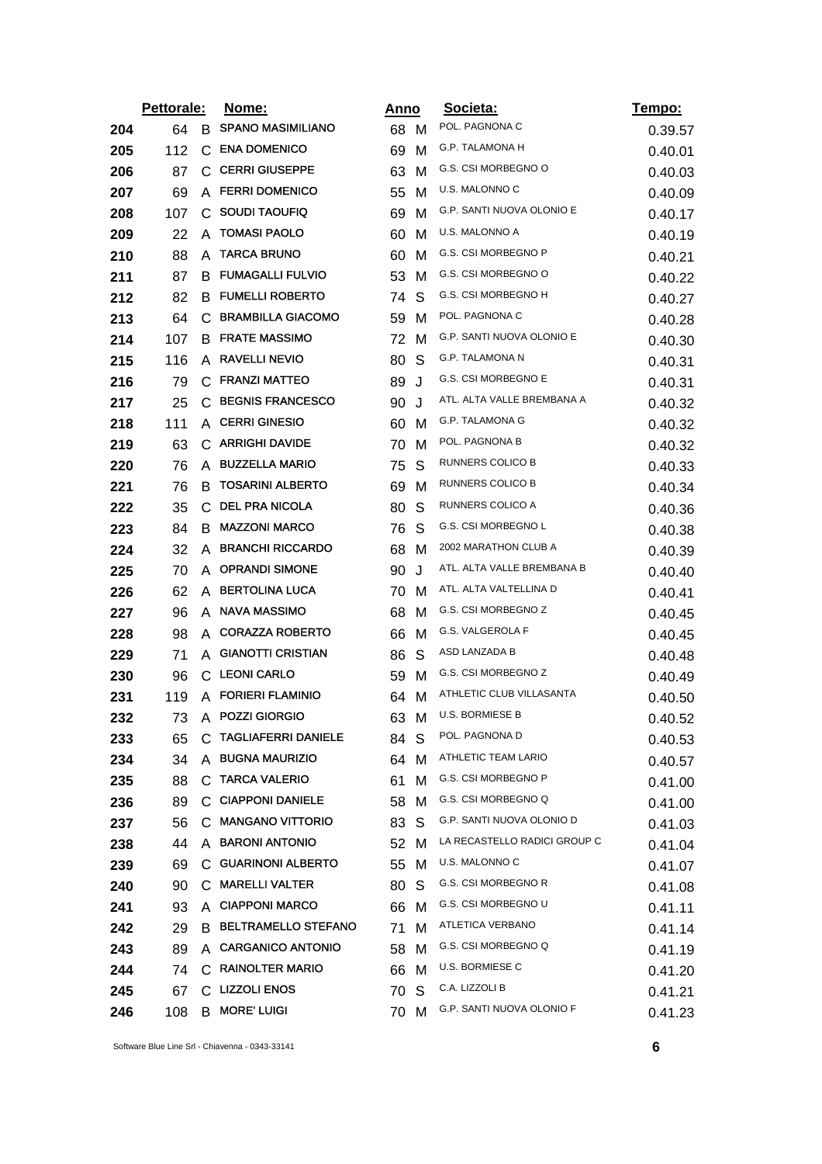|     | Pettorale: |    | <u>Nome:</u>                 | <u>Anno</u> |    | Societa:                     | Tempo:  |
|-----|------------|----|------------------------------|-------------|----|------------------------------|---------|
| 204 | 64         | B. | <b>SPANO MASIMILIANO</b>     | 68 M        |    | POL. PAGNONA C               | 0.39.57 |
| 205 | 112        | С  | <b>ENA DOMENICO</b>          | 69          | м  | G.P. TALAMONA H              | 0.40.01 |
| 206 | 87         | С  | <b>CERRI GIUSEPPE</b>        | 63          | м  | G.S. CSI MORBEGNO O          | 0.40.03 |
| 207 | 69         | A  | <b>FERRI DOMENICO</b>        | 55          | м  | U.S. MALONNO C               | 0.40.09 |
| 208 | 107        | С  | <b>SOUDI TAOUFIQ</b>         | 69          | м  | G.P. SANTI NUOVA OLONIO E    | 0.40.17 |
| 209 | 22         | A  | <b>TOMASI PAOLO</b>          | 60          | M  | U.S. MALONNO A               | 0.40.19 |
| 210 | 88         | A  | <b>TARCA BRUNO</b>           | 60          | м  | G.S. CSI MORBEGNO P          | 0.40.21 |
| 211 | 87         |    | <b>B FUMAGALLI FULVIO</b>    | 53          | M  | G.S. CSI MORBEGNO O          | 0.40.22 |
| 212 | 82         | B  | <b>FUMELLI ROBERTO</b>       | 74          | S  | G.S. CSI MORBEGNO H          | 0.40.27 |
| 213 | 64         |    | C BRAMBILLA GIACOMO          | 59          | м  | POL. PAGNONA C               | 0.40.28 |
| 214 | 107        | B  | <b>FRATE MASSIMO</b>         | 72          | м  | G.P. SANTI NUOVA OLONIO E    | 0.40.30 |
| 215 | 116        |    | A RAVELLI NEVIO              | 80          | S  | G.P. TALAMONA N              | 0.40.31 |
| 216 | 79         | C  | <b>FRANZI MATTEO</b>         | 89          | J  | G.S. CSI MORBEGNO E          | 0.40.31 |
| 217 | 25         | C  | <b>BEGNIS FRANCESCO</b>      | 90          | J  | ATL. ALTA VALLE BREMBANA A   | 0.40.32 |
| 218 | 111        | A  | <b>CERRI GINESIO</b>         | 60          | м  | G.P. TALAMONA G              | 0.40.32 |
| 219 | 63         |    | C ARRIGHI DAVIDE             | 70          | M  | POL. PAGNONA B               | 0.40.32 |
| 220 | 76         | A  | <b>BUZZELLA MARIO</b>        | 75          | S  | RUNNERS COLICO B             | 0.40.33 |
| 221 | 76         | в  | <b>TOSARINI ALBERTO</b>      | 69          | м  | RUNNERS COLICO B             | 0.40.34 |
| 222 | 35         | С  | <b>DEL PRA NICOLA</b>        | 80          | S  | RUNNERS COLICO A             | 0.40.36 |
| 223 | 84         | B  | <b>MAZZONI MARCO</b>         | 76          | S  | G.S. CSI MORBEGNO L          | 0.40.38 |
| 224 | 32         | A  | <b>BRANCHI RICCARDO</b>      | 68          | м  | 2002 MARATHON CLUB A         | 0.40.39 |
| 225 | 70         | A  | <b>OPRANDI SIMONE</b>        | 90          | J  | ATL. ALTA VALLE BREMBANA B   | 0.40.40 |
| 226 | 62         |    | A BERTOLINA LUCA             | 70          | M  | ATL. ALTA VALTELLINA D       | 0.40.41 |
| 227 | 96         |    | A NAVA MASSIMO               | 68          | м  | G.S. CSI MORBEGNO Z          | 0.40.45 |
| 228 | 98         |    | A CORAZZA ROBERTO            | 66          | м  | G.S. VALGEROLA F             | 0.40.45 |
| 229 | 71         | A  | <b>GIANOTTI CRISTIAN</b>     | 86          | S  | ASD LANZADA B                | 0.40.48 |
| 230 | 96         |    | C LEONI CARLO                | 59          | M  | G.S. CSI MORBEGNO Z          | 0.40.49 |
| 231 | 119        |    | A FORIERI FLAMINIO           | 64          | M  | ATHLETIC CLUB VILLASANTA     | 0.40.50 |
| 232 | 73         |    | A POZZI GIORGIO              | 63          | M  | <b>U.S. BORMIESE B</b>       | 0.40.52 |
| 233 | 65         | С  | <b>TAGLIAFERRI DANIELE</b>   | 84 -        | S  | POL. PAGNONA D               | 0.40.53 |
| 234 | 34         |    | A BUGNA MAURIZIO             | 64          | м  | ATHLETIC TEAM LARIO          | 0.40.57 |
| 235 | 88         |    | C TARCA VALERIO              | 61          | м  | G.S. CSI MORBEGNO P          | 0.41.00 |
| 236 | 89         |    | C CIAPPONI DANIELE           | 58          | M  | G.S. CSI MORBEGNO Q          | 0.41.00 |
| 237 | 56         |    | C MANGANO VITTORIO           | 83          | S  | G.P. SANTI NUOVA OLONIO D    | 0.41.03 |
| 238 | 44         |    | A BARONI ANTONIO             | 52 M        |    | LA RECASTELLO RADICI GROUP C | 0.41.04 |
| 239 | 69         |    | C GUARINONI ALBERTO          | 55          | M  | U.S. MALONNO C               | 0.41.07 |
| 240 | 90         | C  | <b>MARELLI VALTER</b>        | 80          | S  | G.S. CSI MORBEGNO R          | 0.41.08 |
| 241 | 93         |    | A CIAPPONI MARCO             | 66          | M  | G.S. CSI MORBEGNO U          | 0.41.11 |
| 242 | 29         |    | <b>B BELTRAMELLO STEFANO</b> | 71          | м  | ATLETICA VERBANO             | 0.41.14 |
| 243 | 89         |    | A CARGANICO ANTONIO          | 58          | M  | G.S. CSI MORBEGNO Q          | 0.41.19 |
| 244 | 74         |    | C RAINOLTER MARIO            | 66          | M  | U.S. BORMIESE C              | 0.41.20 |
| 245 | 67         |    | C LIZZOLI ENOS               | 70          | -S | C.A. LIZZOLI B               | 0.41.21 |
| 246 | 108        | B  | <b>MORE' LUIGI</b>           | 70          | M  | G.P. SANTI NUOVA OLONIO F    | 0.41.23 |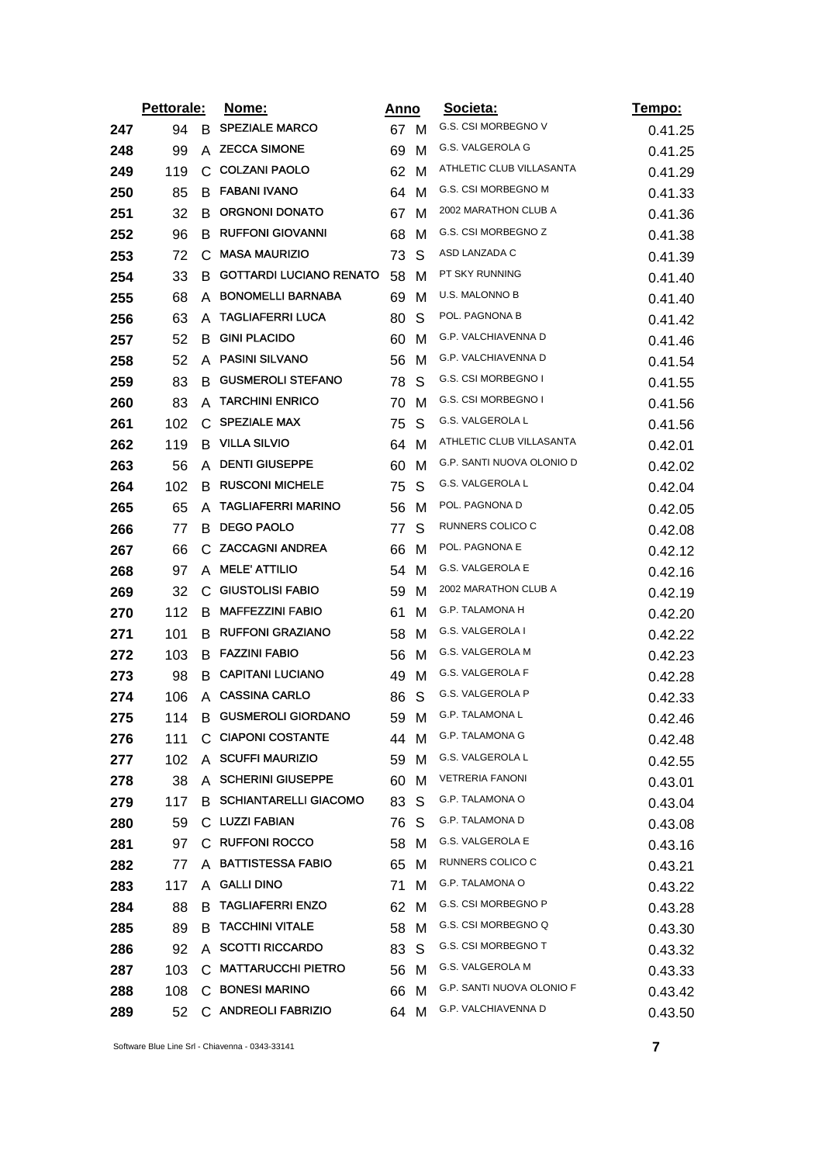|     | Pettorale: |    | <u>Nome:</u>                   |      | <u>Anno</u> | Societa:                  | <u>Tempo:</u> |
|-----|------------|----|--------------------------------|------|-------------|---------------------------|---------------|
| 247 | 94         | B. | <b>SPEZIALE MARCO</b>          | 67 M |             | G.S. CSI MORBEGNO V       | 0.41.25       |
| 248 | 99         | A  | <b>ZECCA SIMONE</b>            | 69   | M           | G.S. VALGEROLA G          | 0.41.25       |
| 249 | 119        | C. | <b>COLZANI PAOLO</b>           | 62   | M           | ATHLETIC CLUB VILLASANTA  | 0.41.29       |
| 250 | 85         | B  | <b>FABANI IVANO</b>            | 64   | м           | G.S. CSI MORBEGNO M       | 0.41.33       |
| 251 | 32         | B  | <b>ORGNONI DONATO</b>          | 67   | M           | 2002 MARATHON CLUB A      | 0.41.36       |
| 252 | 96         | B  | <b>RUFFONI GIOVANNI</b>        | 68   | м           | G.S. CSI MORBEGNO Z       | 0.41.38       |
| 253 | 72         | C  | <b>MASA MAURIZIO</b>           | 73   | S           | ASD LANZADA C             | 0.41.39       |
| 254 | 33         | В  | <b>GOTTARDI LUCIANO RENATO</b> | 58   | м           | PT SKY RUNNING            | 0.41.40       |
| 255 | 68         | A  | <b>BONOMELLI BARNABA</b>       | 69   | M           | U.S. MALONNO B            | 0.41.40       |
| 256 | 63         | A  | <b>TAGLIAFERRI LUCA</b>        | 80   | S           | POL. PAGNONA B            | 0.41.42       |
| 257 | 52         | B  | <b>GINI PLACIDO</b>            | 60   | м           | G.P. VALCHIAVENNA D       | 0.41.46       |
| 258 | 52         | A  | <b>PASINI SILVANO</b>          | 56   | M           | G.P. VALCHIAVENNA D       | 0.41.54       |
| 259 | 83         | B  | <b>GUSMEROLI STEFANO</b>       | 78   | S           | G.S. CSI MORBEGNO I       | 0.41.55       |
| 260 | 83         | A  | <b>TARCHINI ENRICO</b>         | 70   | м           | G.S. CSI MORBEGNO I       | 0.41.56       |
| 261 | 102        | С  | <b>SPEZIALE MAX</b>            | 75   | S           | G.S. VALGEROLA L          | 0.41.56       |
| 262 | 119        |    | <b>B</b> VILLA SILVIO          | 64   | M           | ATHLETIC CLUB VILLASANTA  | 0.42.01       |
| 263 | 56         | A  | <b>DENTI GIUSEPPE</b>          | 60   | M           | G.P. SANTI NUOVA OLONIO D | 0.42.02       |
| 264 | 102        | B  | <b>RUSCONI MICHELE</b>         | 75   | S           | G.S. VALGEROLA L          | 0.42.04       |
| 265 | 65         | A  | <b>TAGLIAFERRI MARINO</b>      | 56   | м           | POL. PAGNONA D            | 0.42.05       |
| 266 | 77         | B  | <b>DEGO PAOLO</b>              | 77   | S           | RUNNERS COLICO C          | 0.42.08       |
| 267 | 66         | C. | <b>ZACCAGNI ANDREA</b>         | 66   | M           | POL. PAGNONA E            | 0.42.12       |
| 268 | 97         | A  | <b>MELE' ATTILIO</b>           | 54   | M           | G.S. VALGEROLA E          | 0.42.16       |
| 269 | 32         |    | C GIUSTOLISI FABIO             | 59   | м           | 2002 MARATHON CLUB A      | 0.42.19       |
| 270 | 112        | в  | <b>MAFFEZZINI FABIO</b>        | 61   | M           | G.P. TALAMONA H           | 0.42.20       |
| 271 | 101        | B  | <b>RUFFONI GRAZIANO</b>        | 58   | M           | G.S. VALGEROLA I          | 0.42.22       |
| 272 | 103        | B  | <b>FAZZINI FABIO</b>           | 56   | м           | G.S. VALGEROLA M          | 0.42.23       |
| 273 | 98         |    | <b>B CAPITANI LUCIANO</b>      | 49   | м           | G.S. VALGEROLA F          | 0.42.28       |
| 274 | 106        | A  | <b>CASSINA CARLO</b>           | 86   | S           | G.S. VALGEROLA P          | 0.42.33       |
| 275 | 114        | B  | <b>GUSMEROLI GIORDANO</b>      | 59   | M           | G.P. TALAMONA L           | 0.42.46       |
| 276 | 111        |    | C CIAPONI COSTANTE             | 44 M |             | <b>G.P. TALAMONA G</b>    | 0.42.48       |
| 277 | 102        | A  | <b>SCUFFI MAURIZIO</b>         | 59   | м           | G.S. VALGEROLA L          | 0.42.55       |
| 278 | 38         |    | A SCHERINI GIUSEPPE            | 60   | м           | <b>VETRERIA FANONI</b>    | 0.43.01       |
| 279 | 117        | B. | <b>SCHIANTARELLI GIACOMO</b>   | 83   | S           | G.P. TALAMONA O           | 0.43.04       |
| 280 | 59         |    | C LUZZI FABIAN                 | 76   | S           | G.P. TALAMONA D           | 0.43.08       |
| 281 | 97         |    | C RUFFONI ROCCO                | 58   | м           | G.S. VALGEROLA E          | 0.43.16       |
| 282 | 77         | A  | <b>BATTISTESSA FABIO</b>       | 65   | M           | RUNNERS COLICO C          | 0.43.21       |
| 283 | 117        | A  | <b>GALLI DINO</b>              | 71   | м           | <b>G.P. TALAMONA O</b>    | 0.43.22       |
| 284 | 88         | в  | <b>TAGLIAFERRI ENZO</b>        | 62   | м           | G.S. CSI MORBEGNO P       | 0.43.28       |
| 285 | 89         | в  | <b>TACCHINI VITALE</b>         | 58   | м           | G.S. CSI MORBEGNO Q       | 0.43.30       |
| 286 | 92         |    | A SCOTTI RICCARDO              | 83   | S           | G.S. CSI MORBEGNO T       | 0.43.32       |
| 287 | 103        | C  | <b>MATTARUCCHI PIETRO</b>      | 56   | м           | G.S. VALGEROLA M          | 0.43.33       |
| 288 | 108        |    | C BONESI MARINO                | 66   | M           | G.P. SANTI NUOVA OLONIO F | 0.43.42       |
| 289 | 52         |    | C ANDREOLI FABRIZIO            | 64   | M           | G.P. VALCHIAVENNA D       | 0.43.50       |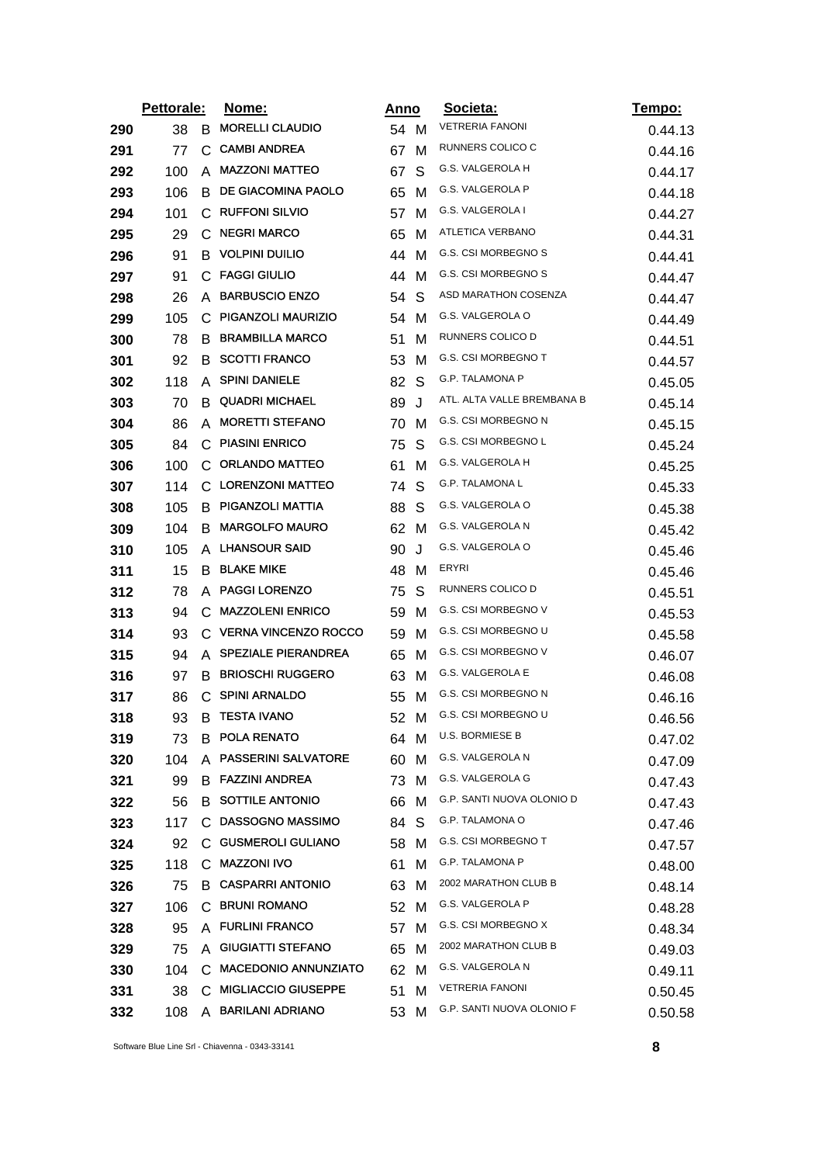|     | Pettorale: |              | Nome:<br>Anno               |      |   | Societa:                   | <u>Tempo:</u> |
|-----|------------|--------------|-----------------------------|------|---|----------------------------|---------------|
| 290 | 38         | B            | <b>MORELLI CLAUDIO</b>      | 54 M |   | <b>VETRERIA FANONI</b>     | 0.44.13       |
| 291 | 77         | C            | <b>CAMBI ANDREA</b>         | 67   | M | RUNNERS COLICO C           | 0.44.16       |
| 292 | 100        | A            | <b>MAZZONI MATTEO</b>       | 67   | S | G.S. VALGEROLA H           | 0.44.17       |
| 293 | 106        | B            | DE GIACOMINA PAOLO          | 65   | м | G.S. VALGEROLA P           | 0.44.18       |
| 294 | 101        | C            | <b>RUFFONI SILVIO</b>       | 57   | M | G.S. VALGEROLA I           | 0.44.27       |
| 295 | 29         | $\mathbf{C}$ | <b>NEGRI MARCO</b>          | 65   | M | ATLETICA VERBANO           | 0.44.31       |
| 296 | 91         | B            | <b>VOLPINI DUILIO</b>       | 44   | м | G.S. CSI MORBEGNO S        | 0.44.41       |
| 297 | 91         | C.           | <b>FAGGI GIULIO</b>         | 44   | м | G.S. CSI MORBEGNO S        | 0.44.47       |
| 298 | 26         | A            | <b>BARBUSCIO ENZO</b>       | 54   | S | ASD MARATHON COSENZA       | 0.44.47       |
| 299 | 105        | C.           | PIGANZOLI MAURIZIO          | 54   | M | G.S. VALGEROLA O           | 0.44.49       |
| 300 | 78         | B            | <b>BRAMBILLA MARCO</b>      | 51   | M | RUNNERS COLICO D           | 0.44.51       |
| 301 | 92         | В            | <b>SCOTTI FRANCO</b>        | 53   | M | G.S. CSI MORBEGNO T        | 0.44.57       |
| 302 | 118        | A            | <b>SPINI DANIELE</b>        | 82   | S | <b>G.P. TALAMONA P</b>     | 0.45.05       |
| 303 | 70         | B            | <b>QUADRI MICHAEL</b>       | 89   | J | ATL. ALTA VALLE BREMBANA B | 0.45.14       |
| 304 | 86         | A            | <b>MORETTI STEFANO</b>      | 70   | м | G.S. CSI MORBEGNO N        | 0.45.15       |
| 305 | 84         |              | C PIASINI ENRICO            | 75   | S | G.S. CSI MORBEGNO L        | 0.45.24       |
| 306 | 100        | C            | <b>ORLANDO MATTEO</b>       | 61   | M | G.S. VALGEROLA H           | 0.45.25       |
| 307 | 114        | C            | <b>LORENZONI MATTEO</b>     | 74   | S | G.P. TALAMONA L            | 0.45.33       |
| 308 | 105        | B            | PIGANZOLI MATTIA            | 88   | S | G.S. VALGEROLA O           | 0.45.38       |
| 309 | 104        | B            | <b>MARGOLFO MAURO</b>       | 62   | M | G.S. VALGEROLA N           | 0.45.42       |
| 310 | 105        | A            | <b>LHANSOUR SAID</b>        | 90   | J | G.S. VALGEROLA O           | 0.45.46       |
| 311 | 15         | B            | <b>BLAKE MIKE</b>           | 48   | M | ERYRI                      | 0.45.46       |
| 312 | 78         | A            | <b>PAGGI LORENZO</b>        | 75   | S | RUNNERS COLICO D           | 0.45.51       |
| 313 | 94         | C            | <b>MAZZOLENI ENRICO</b>     | 59   | M | G.S. CSI MORBEGNO V        | 0.45.53       |
| 314 | 93         | C.           | <b>VERNA VINCENZO ROCCO</b> | 59   | M | G.S. CSI MORBEGNO U        | 0.45.58       |
| 315 | 94         | A            | <b>SPEZIALE PIERANDREA</b>  | 65   | M | G.S. CSI MORBEGNO V        | 0.46.07       |
| 316 | 97         | B            | <b>BRIOSCHI RUGGERO</b>     | 63   | м | G.S. VALGEROLA E           | 0.46.08       |
| 317 | 86         | C            | <b>SPINI ARNALDO</b>        | 55   | м | <b>G.S. CSI MORBEGNO N</b> | 0.46.16       |
| 318 | 93         | В            | <b>TESTA IVANO</b>          | 52   | M | G.S. CSI MORBEGNO U        | 0.46.56       |
| 319 | 73         |              | <b>B POLA RENATO</b>        | 64 M |   | U.S. BORMIESE B            | 0.47.02       |
| 320 | 104        | A            | <b>PASSERINI SALVATORE</b>  | 60   | м | G.S. VALGEROLA N           | 0.47.09       |
| 321 | 99         |              | <b>B FAZZINI ANDREA</b>     | 73   | м | G.S. VALGEROLA G           | 0.47.43       |
| 322 | 56         | B.           | <b>SOTTILE ANTONIO</b>      | 66   | м | G.P. SANTI NUOVA OLONIO D  | 0.47.43       |
| 323 | 117        | C.           | <b>DASSOGNO MASSIMO</b>     | 84   | S | G.P. TALAMONA O            | 0.47.46       |
| 324 | 92         | С            | <b>GUSMEROLI GULIANO</b>    | 58   | м | G.S. CSI MORBEGNO T        | 0.47.57       |
| 325 | 118        |              | C MAZZONI IVO               | 61   | м | <b>G.P. TALAMONA P</b>     | 0.48.00       |
| 326 | 75         |              | <b>B CASPARRI ANTONIO</b>   | 63   | M | 2002 MARATHON CLUB B       | 0.48.14       |
| 327 | 106        |              | C BRUNI ROMANO              | 52   | M | G.S. VALGEROLA P           | 0.48.28       |
| 328 | 95         |              | A FURLINI FRANCO            | 57   | M | G.S. CSI MORBEGNO X        | 0.48.34       |
| 329 | 75         | A            | <b>GIUGIATTI STEFANO</b>    | 65   | M | 2002 MARATHON CLUB B       | 0.49.03       |
| 330 | 104        | C            | <b>MACEDONIO ANNUNZIATO</b> | 62   | M | G.S. VALGEROLA N           | 0.49.11       |
| 331 | 38         |              | C MIGLIACCIO GIUSEPPE       | 51   | M | <b>VETRERIA FANONI</b>     | 0.50.45       |
| 332 | 108        |              | A BARILANI ADRIANO          | 53   | M | G.P. SANTI NUOVA OLONIO F  | 0.50.58       |